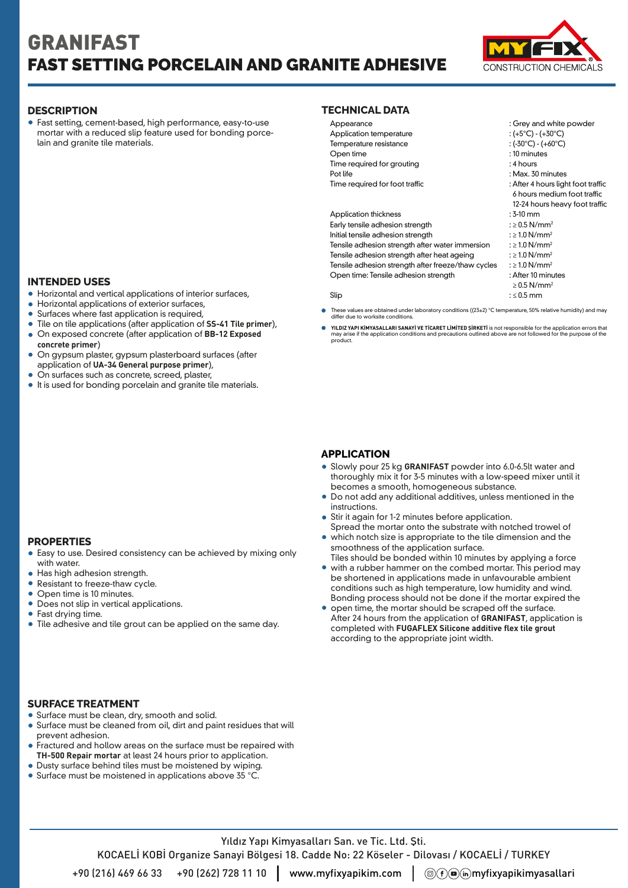# GRANIFAST FAST SETTING PORCELAIN AND GRANITE ADHESIVE



Fast setting, cement-based, high performance, easy-to-use mortar with a reduced slip feature used for bonding porcelain and granite tile materials.

# **INTENDED USES**

- Horizontal and vertical applications of interior surfaces,
- Horizontal applications of exterior surfaces,
- Surfaces where fast application is required,
- Tile on tile applications (after application of **SS-41 Tile primer**),
- On exposed concrete (after application of **BB-12 Exposed concrete primer**)
- On gypsum plaster, gypsum plasterboard surfaces (after application of **UA-34 General purpose primer**),
- On surfaces such as concrete, screed, plaster,
- It is used for bonding porcelain and granite tile materials.

### **PROPERTIES**

- Easy to use. Desired consistency can be achieved by mixing only with water.
- Has high adhesion strength.
- Resistant to freeze-thaw cycle.
- Open time is 10 minutes.
- Does not slip in vertical applications.
- Fast drving time.
- Tile adhesive and tile grout can be applied on the same day.

### **DESCRIPTION TECHNICAL DATA**

| Appearance                                         | : Grey and white powder            |
|----------------------------------------------------|------------------------------------|
| Application temperature                            | : (+5°C) - (+30°C)                 |
| Temperature resistance                             | : (-30°C) - (+60°C)                |
| Open time                                          | : 10 minutes                       |
| Time required for grouting                         | : 4 hours                          |
| Pot life                                           | : Max. 30 minutes                  |
| Time required for foot traffic                     | : After 4 hours light foot traffic |
|                                                    | 6 hours medium foot traffic        |
|                                                    | 12-24 hours heavy foot traffic     |
| <b>Application thickness</b>                       | $:3-10$ mm                         |
| Early tensile adhesion strength                    | $: \geq 0.5$ N/mm <sup>2</sup>     |
| Initial tensile adhesion strength                  | $: \geq 1.0$ N/mm <sup>2</sup>     |
| Tensile adhesion strength after water immersion    | : $\geq$ 1.0 N/mm <sup>2</sup>     |
| Tensile adhesion strength after heat ageing        | $: \geq 1.0$ N/mm <sup>2</sup>     |
| Tensile adhesion strength after freeze/thaw cycles | $: \geq 1.0 \text{ N/mm}^2$        |
| Open time: Tensile adhesion strength               | : After 10 minutes                 |
|                                                    | $\geq$ 0.5 N/mm <sup>2</sup>       |
| Slip                                               | $: \leq 0.5$ mm                    |
|                                                    |                                    |

- These values are obtained under laboratory conditions ((23±2) °C temperature, 50% relative humidity) and may differ due to worksite conditions.
- **YILDIZ YAPI KİMYASALLARI SANAYİ VE TİCARET LİMİTED ŞİRKETİ** is not responsible for the application errors that<br>may arise if the application conditions and precautions outlined above are not followed for the purpose of the with the internal SANAY of TicARET Line internal may arise if the application conditions and precall<br>product.

### **APPLICATION**

- Slowly pour 25 kg **GRANIFAST** powder into 6.0-6.5lt water and thoroughly mix it for 3-5 minutes with a low-speed mixer until it becomes a smooth, homogeneous substance.
- Do not add any additional additives, unless mentioned in the instructions.
- Stir it again for 1-2 minutes before application.
- Spread the mortar onto the substrate with notched trowel of which notch size is appropriate to the tile dimension and the smoothness of the application surface.
- Tiles should be bonded within 10 minutes by applying a force with a rubber hammer on the combed mortar. This period may be shortened in applications made in unfavourable ambient conditions such as high temperature, low humidity and wind.
- Bonding process should not be done if the mortar expired the open time, the mortar should be scraped off the surface. After 24 hours from the application of **GRANIFAST**, application is completed with **FUGAFLEX Silicone additive flex tile grout** according to the appropriate joint width.

### **SURFACE TREATMENT**

- Surface must be clean, dry, smooth and solid.
- Surface must be cleaned from oil, dirt and paint residues that will prevent adhesion.
- Fractured and hollow areas on the surface must be repaired with **TH-500 Repair mortar** at least 24 hours prior to application.
- Dusty surface behind tiles must be moistened by wiping.
- Surface must be moistened in applications above 35 °C.

Yıldız Yapı Kimyasalları San. ve Tic. Ltd. Şti. KOCAELİ KOBİ Organize Sanayi Bölgesi 18. Cadde No: 22 Köseler - Dilovası / KOCAELİ / TURKEY